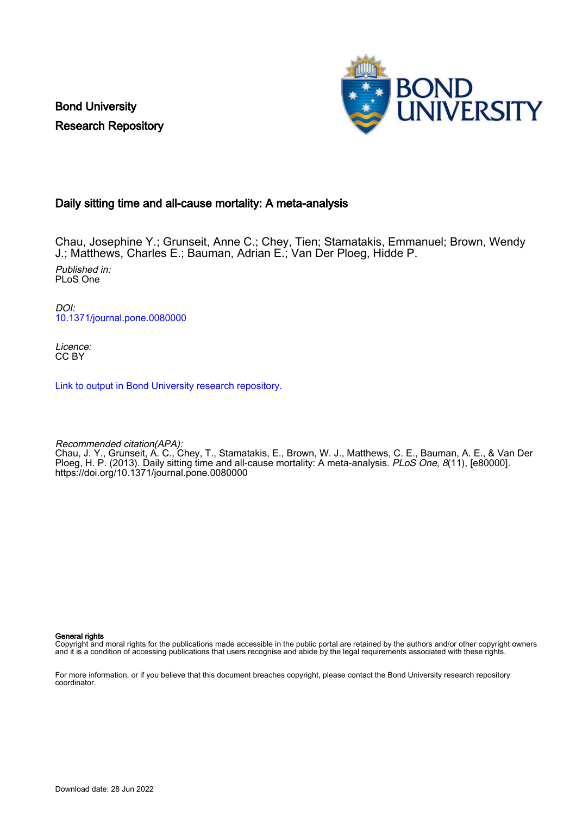Bond University Research Repository



### Daily sitting time and all-cause mortality: A meta-analysis

Chau, Josephine Y.; Grunseit, Anne C.; Chey, Tien; Stamatakis, Emmanuel; Brown, Wendy J.; Matthews, Charles E.; Bauman, Adrian E.; Van Der Ploeg, Hidde P. Published in: PLoS One

DOI: [10.1371/journal.pone.0080000](https://doi.org/10.1371/journal.pone.0080000)

Licence: CC BY

[Link to output in Bond University research repository.](https://research.bond.edu.au/en/publications/d76714fa-e041-4888-93ca-b9dae9b85a1d)

Recommended citation(APA): Chau, J. Y., Grunseit, A. C., Chey, T., Stamatakis, E., Brown, W. J., Matthews, C. E., Bauman, A. E., & Van Der Ploeg, H. P. (2013). Daily sitting time and all-cause mortality: A meta-analysis. PLoS One, 8(11), [e80000]. <https://doi.org/10.1371/journal.pone.0080000>

General rights

Copyright and moral rights for the publications made accessible in the public portal are retained by the authors and/or other copyright owners and it is a condition of accessing publications that users recognise and abide by the legal requirements associated with these rights.

For more information, or if you believe that this document breaches copyright, please contact the Bond University research repository coordinator.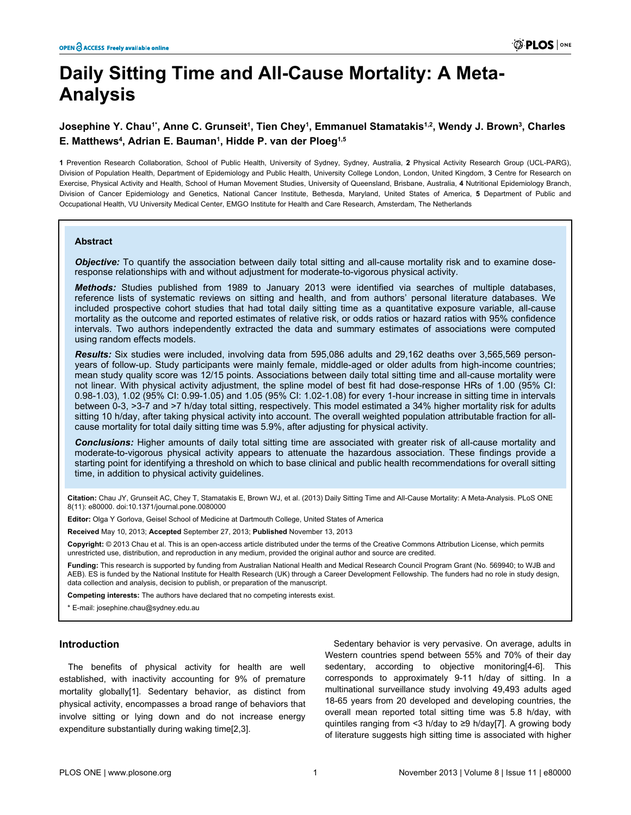# **Daily Sitting Time and All-Cause Mortality: A Meta-Analysis**

### **Josephine Y. Chau1\*, Anne C. Grunseit<sup>1</sup> , Tien Chey<sup>1</sup> , Emmanuel Stamatakis1,2, Wendy J. Brown<sup>3</sup> , Charles E. Matthews<sup>4</sup> , Adrian E. Bauman<sup>1</sup> , Hidde P. van der Ploeg1,5**

**1** Prevention Research Collaboration, School of Public Health, University of Sydney, Sydney, Australia, **2** Physical Activity Research Group (UCL-PARG), Division of Population Health, Department of Epidemiology and Public Health, University College London, London, United Kingdom, **3** Centre for Research on Exercise, Physical Activity and Health, School of Human Movement Studies, University of Queensland, Brisbane, Australia, **4** Nutritional Epidemiology Branch, Division of Cancer Epidemiology and Genetics, National Cancer Institute, Bethesda, Maryland, United States of America, **5** Department of Public and Occupational Health, VU University Medical Center, EMGO Institute for Health and Care Research, Amsterdam, The Netherlands

#### **Abstract**

*Objective:* To quantify the association between daily total sitting and all-cause mortality risk and to examine doseresponse relationships with and without adjustment for moderate-to-vigorous physical activity.

*Methods:* Studies published from 1989 to January 2013 were identified via searches of multiple databases, reference lists of systematic reviews on sitting and health, and from authors' personal literature databases. We included prospective cohort studies that had total daily sitting time as a quantitative exposure variable, all-cause mortality as the outcome and reported estimates of relative risk, or odds ratios or hazard ratios with 95% confidence intervals. Two authors independently extracted the data and summary estimates of associations were computed using random effects models.

*Results:* Six studies were included, involving data from 595,086 adults and 29,162 deaths over 3,565,569 personyears of follow-up. Study participants were mainly female, middle-aged or older adults from high-income countries; mean study quality score was 12/15 points. Associations between daily total sitting time and all-cause mortality were not linear. With physical activity adjustment, the spline model of best fit had dose-response HRs of 1.00 (95% CI: 0.98-1.03), 1.02 (95% CI: 0.99-1.05) and 1.05 (95% CI: 1.02-1.08) for every 1-hour increase in sitting time in intervals between 0-3, >3-7 and >7 h/day total sitting, respectively. This model estimated a 34% higher mortality risk for adults sitting 10 h/day, after taking physical activity into account. The overall weighted population attributable fraction for allcause mortality for total daily sitting time was 5.9%, after adjusting for physical activity.

*Conclusions:* Higher amounts of daily total sitting time are associated with greater risk of all-cause mortality and moderate-to-vigorous physical activity appears to attenuate the hazardous association. These findings provide a starting point for identifying a threshold on which to base clinical and public health recommendations for overall sitting time, in addition to physical activity guidelines.

**Citation:** Chau JY, Grunseit AC, Chey T, Stamatakis E, Brown WJ, et al. (2013) Daily Sitting Time and All-Cause Mortality: A Meta-Analysis. PLoS ONE 8(11): e80000. doi:10.1371/journal.pone.0080000

**Editor:** Olga Y Gorlova, Geisel School of Medicine at Dartmouth College, United States of America

**Received** May 10, 2013; **Accepted** September 27, 2013; **Published** November 13, 2013

**Copyright:** © 2013 Chau et al. This is an open-access article distributed under the terms of the [Creative Commons Attribution License,](http://creativecommons.org/licenses/by/3.0/) which permits unrestricted use, distribution, and reproduction in any medium, provided the original author and source are credited.

**Funding:** This research is supported by funding from Australian National Health and Medical Research Council Program Grant (No. 569940; to WJB and AEB). ES is funded by the National Institute for Health Research (UK) through a Career Development Fellowship. The funders had no role in study design, data collection and analysis, decision to publish, or preparation of the manuscript.

**Competing interests:** The authors have declared that no competing interests exist.

\* E-mail: josephine.chau@sydney.edu.au

#### **Introduction**

The benefits of physical activity for health are well established, with inactivity accounting for 9% of premature mortality globally[[1](#page-13-0)]. Sedentary behavior, as distinct from physical activity, encompasses a broad range of behaviors that involve sitting or lying down and do not increase energy expenditure substantially during waking time[[2](#page-13-0),[3\]](#page-13-0).

Sedentary behavior is very pervasive. On average, adults in Western countries spend between 55% and 70% of their day sedentary, according to objective monitoring[\[4-6](#page-13-0)]. This corresponds to approximately 9-11 h/day of sitting. In a multinational surveillance study involving 49,493 adults aged 18-65 years from 20 developed and developing countries, the overall mean reported total sitting time was 5.8 h/day, with quintiles ranging from <3 h/day to ≥9 h/day[\[7](#page-13-0)]. A growing body of literature suggests high sitting time is associated with higher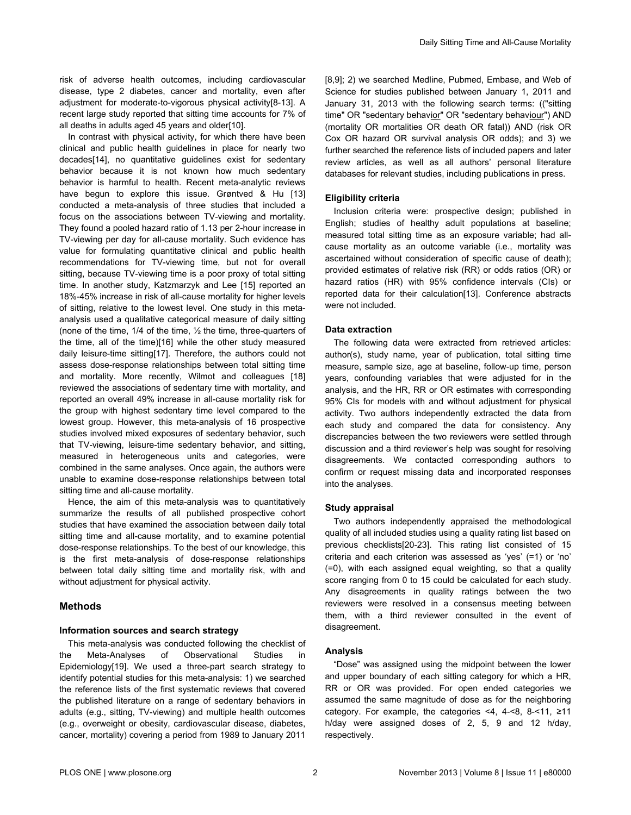risk of adverse health outcomes, including cardiovascular disease, type 2 diabetes, cancer and mortality, even after adjustment for moderate-to-vigorous physical activity[\[8-13](#page-13-0)]. A recent large study reported that sitting time accounts for 7% of all deaths in adults aged 45 years and older[\[10\]](#page-13-0).

In contrast with physical activity, for which there have been clinical and public health guidelines in place for nearly two decades[\[14\]](#page-13-0), no quantitative guidelines exist for sedentary behavior because it is not known how much sedentary behavior is harmful to health. Recent meta-analytic reviews have begun to explore this issue. Grøntved & Hu [[13](#page-13-0)] conducted a meta-analysis of three studies that included a focus on the associations between TV-viewing and mortality. They found a pooled hazard ratio of 1.13 per 2-hour increase in TV-viewing per day for all-cause mortality. Such evidence has value for formulating quantitative clinical and public health recommendations for TV-viewing time, but not for overall sitting, because TV-viewing time is a poor proxy of total sitting time. In another study, Katzmarzyk and Lee [\[15\]](#page-13-0) reported an 18%-45% increase in risk of all-cause mortality for higher levels of sitting, relative to the lowest level. One study in this metaanalysis used a qualitative categorical measure of daily sitting (none of the time, 1/4 of the time, ½ the time, three-quarters of the time, all of the time)[\[16\]](#page-13-0) while the other study measured daily leisure-time sitting[\[17\]](#page-13-0). Therefore, the authors could not assess dose-response relationships between total sitting time and mortality. More recently, Wilmot and colleagues [[18](#page-13-0)] reviewed the associations of sedentary time with mortality, and reported an overall 49% increase in all-cause mortality risk for the group with highest sedentary time level compared to the lowest group. However, this meta-analysis of 16 prospective studies involved mixed exposures of sedentary behavior, such that TV-viewing, leisure-time sedentary behavior, and sitting, measured in heterogeneous units and categories, were combined in the same analyses. Once again, the authors were unable to examine dose-response relationships between total sitting time and all-cause mortality.

Hence, the aim of this meta-analysis was to quantitatively summarize the results of all published prospective cohort studies that have examined the association between daily total sitting time and all-cause mortality, and to examine potential dose-response relationships. To the best of our knowledge, this is the first meta-analysis of dose-response relationships between total daily sitting time and mortality risk, with and without adjustment for physical activity.

#### **Methods**

#### **Information sources and search strategy**

This meta-analysis was conducted following the checklist of the Meta-Analyses of Observational Studies in Epidemiology[[19](#page-13-0)]. We used a three-part search strategy to identify potential studies for this meta-analysis: 1) we searched the reference lists of the first systematic reviews that covered the published literature on a range of sedentary behaviors in adults (e.g., sitting, TV-viewing) and multiple health outcomes (e.g., overweight or obesity, cardiovascular disease, diabetes, cancer, mortality) covering a period from 1989 to January 2011 [[8,9\]](#page-13-0); 2) we searched Medline, Pubmed, Embase, and Web of Science for studies published between January 1, 2011 and January 31, 2013 with the following search terms: (("sitting time" OR "sedentary behavior" OR "sedentary behaviour") AND (mortality OR mortalities OR death OR fatal)) AND (risk OR Cox OR hazard OR survival analysis OR odds); and 3) we further searched the reference lists of included papers and later review articles, as well as all authors' personal literature databases for relevant studies, including publications in press.

#### **Eligibility criteria**

Inclusion criteria were: prospective design; published in English; studies of healthy adult populations at baseline; measured total sitting time as an exposure variable; had allcause mortality as an outcome variable (i.e., mortality was ascertained without consideration of specific cause of death); provided estimates of relative risk (RR) or odds ratios (OR) or hazard ratios (HR) with 95% confidence intervals (CIs) or reported data for their calculation[\[13\]](#page-13-0). Conference abstracts were not included.

#### **Data extraction**

The following data were extracted from retrieved articles: author(s), study name, year of publication, total sitting time measure, sample size, age at baseline, follow-up time, person years, confounding variables that were adjusted for in the analysis, and the HR, RR or OR estimates with corresponding 95% CIs for models with and without adjustment for physical activity. Two authors independently extracted the data from each study and compared the data for consistency. Any discrepancies between the two reviewers were settled through discussion and a third reviewer's help was sought for resolving disagreements. We contacted corresponding authors to confirm or request missing data and incorporated responses into the analyses.

#### **Study appraisal**

Two authors independently appraised the methodological quality of all included studies using a quality rating list based on previous checklists[[20](#page-13-0)-[23](#page-13-0)]. This rating list consisted of 15 criteria and each criterion was assessed as 'yes' (=1) or 'no' (=0), with each assigned equal weighting, so that a quality score ranging from 0 to 15 could be calculated for each study. Any disagreements in quality ratings between the two reviewers were resolved in a consensus meeting between them, with a third reviewer consulted in the event of disagreement.

#### **Analysis**

"Dose" was assigned using the midpoint between the lower and upper boundary of each sitting category for which a HR, RR or OR was provided. For open ended categories we assumed the same magnitude of dose as for the neighboring category. For example, the categories <4, 4-<8, 8-<11, ≥11 h/day were assigned doses of 2, 5, 9 and 12 h/day, respectively.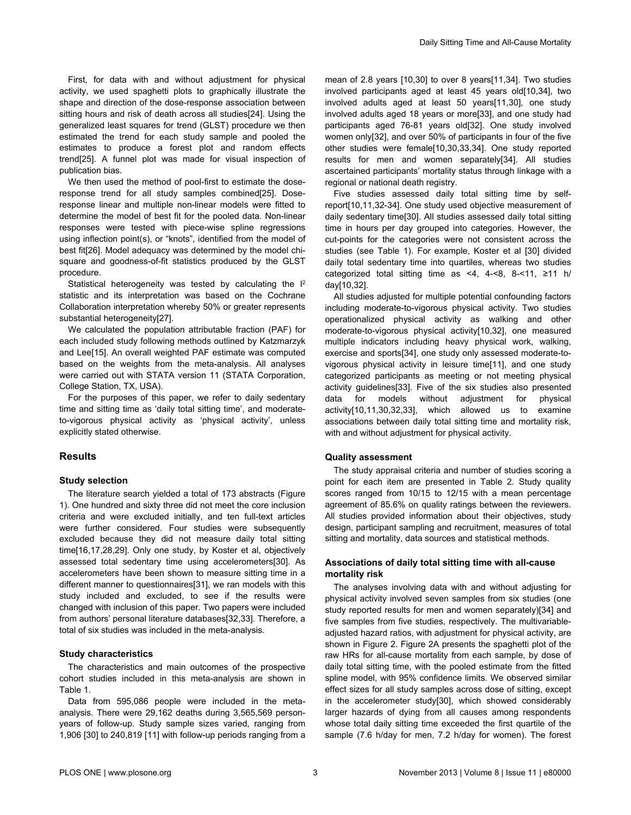First, for data with and without adjustment for physical activity, we used spaghetti plots to graphically illustrate the shape and direction of the dose-response association between sitting hours and risk of death across all studies[[24](#page-13-0)]. Using the generalized least squares for trend (GLST) procedure we then estimated the trend for each study sample and pooled the estimates to produce a forest plot and random effects trend[\[25\]](#page-13-0). A funnel plot was made for visual inspection of publication bias.

We then used the method of pool-first to estimate the doseresponse trend for all study samples combined[\[25\]](#page-13-0). Doseresponse linear and multiple non-linear models were fitted to determine the model of best fit for the pooled data. Non-linear responses were tested with piece-wise spline regressions using inflection point(s), or "knots", identified from the model of best fit[\[26\]](#page-13-0). Model adequacy was determined by the model chisquare and goodness-of-fit statistics produced by the GLST procedure.

Statistical heterogeneity was tested by calculating the  $I<sup>2</sup>$ statistic and its interpretation was based on the Cochrane Collaboration interpretation whereby 50% or greater represents substantial heterogeneity[\[27\]](#page-13-0).

We calculated the population attributable fraction (PAF) for each included study following methods outlined by Katzmarzyk and Lee[\[15\]](#page-13-0). An overall weighted PAF estimate was computed based on the weights from the meta-analysis. All analyses were carried out with STATA version 11 (STATA Corporation, College Station, TX, USA).

For the purposes of this paper, we refer to daily sedentary time and sitting time as 'daily total sitting time', and moderateto-vigorous physical activity as 'physical activity', unless explicitly stated otherwise.

#### **Results**

#### **Study selection**

The literature search yielded a total of 173 abstracts [\(Figure](#page-4-0) [1](#page-4-0)). One hundred and sixty three did not meet the core inclusion criteria and were excluded initially, and ten full-text articles were further considered. Four studies were subsequently excluded because they did not measure daily total sitting time[\[16](#page-13-0),[17](#page-13-0),[28,29\]](#page-13-0). Only one study, by Koster et al, objectively assessed total sedentary time using accelerometers[[30](#page-13-0)]. As accelerometers have been shown to measure sitting time in a different manner to questionnaires[[31](#page-13-0)], we ran models with this study included and excluded, to see if the results were changed with inclusion of this paper. Two papers were included from authors' personal literature databases[[32](#page-13-0),[33](#page-13-0)]. Therefore, a total of six studies was included in the meta-analysis.

#### **Study characteristics**

The characteristics and main outcomes of the prospective cohort studies included in this meta-analysis are shown in [Table 1.](#page-5-0)

Data from 595,086 people were included in the metaanalysis. There were 29,162 deaths during 3,565,569 personyears of follow-up. Study sample sizes varied, ranging from 1,906 [[30](#page-13-0)] to 240,819 [[11](#page-13-0)] with follow-up periods ranging from a mean of 2.8 years [\[10,30\]](#page-13-0) to over 8 years[\[11,34](#page-13-0)]. Two studies involved participants aged at least 45 years old[[10,34\]](#page-13-0), two involved adults aged at least 50 years[[11](#page-13-0),[30](#page-13-0)], one study involved adults aged 18 years or more[[33\]](#page-13-0), and one study had participants aged 76-81 years old[\[32\]](#page-13-0). One study involved women only[\[32\]](#page-13-0), and over 50% of participants in four of the five other studies were female[\[10,30,33,34](#page-13-0)]. One study reported results for men and women separately[[34\]](#page-13-0). All studies ascertained participants' mortality status through linkage with a regional or national death registry.

Five studies assessed daily total sitting time by selfreport[\[10,11](#page-13-0),[32](#page-13-0)-[34](#page-13-0)]. One study used objective measurement of daily sedentary time[[30](#page-13-0)]. All studies assessed daily total sitting time in hours per day grouped into categories. However, the cut-points for the categories were not consistent across the studies (see [Table 1](#page-5-0)). For example, Koster et al [[30](#page-13-0)] divided daily total sedentary time into quartiles, whereas two studies categorized total sitting time as <4, 4-<8, 8-<11,  $\geq$ 11 h/ day[[10,32\]](#page-13-0).

All studies adjusted for multiple potential confounding factors including moderate-to-vigorous physical activity. Two studies operationalized physical activity as walking and other moderate-to-vigorous physical activity[[10](#page-13-0),[32](#page-13-0)], one measured multiple indicators including heavy physical work, walking, exercise and sports[\[34\]](#page-13-0), one study only assessed moderate-tovigorous physical activity in leisure time[[11](#page-13-0)], and one study categorized participants as meeting or not meeting physical activity guidelines[\[33\]](#page-13-0). Five of the six studies also presented data for models without adjustment for physical activity[[10](#page-13-0),[11,30,32,33\]](#page-13-0), which allowed us to examine associations between daily total sitting time and mortality risk, with and without adjustment for physical activity.

#### **Quality assessment**

The study appraisal criteria and number of studies scoring a point for each item are presented in [Table 2.](#page-10-0) Study quality scores ranged from 10/15 to 12/15 with a mean percentage agreement of 85.6% on quality ratings between the reviewers. All studies provided information about their objectives, study design, participant sampling and recruitment, measures of total sitting and mortality, data sources and statistical methods.

#### **Associations of daily total sitting time with all-cause mortality risk**

The analyses involving data with and without adjusting for physical activity involved seven samples from six studies (one study reported results for men and women separately)[\[34\]](#page-13-0) and five samples from five studies, respectively. The multivariableadjusted hazard ratios, with adjustment for physical activity, are shown in [Figure 2.](#page-11-0) [Figure 2A](#page-11-0) presents the spaghetti plot of the raw HRs for all-cause mortality from each sample, by dose of daily total sitting time, with the pooled estimate from the fitted spline model, with 95% confidence limits. We observed similar effect sizes for all study samples across dose of sitting, except in the accelerometer study[[30](#page-13-0)], which showed considerably larger hazards of dying from all causes among respondents whose total daily sitting time exceeded the first quartile of the sample (7.6 h/day for men, 7.2 h/day for women). The forest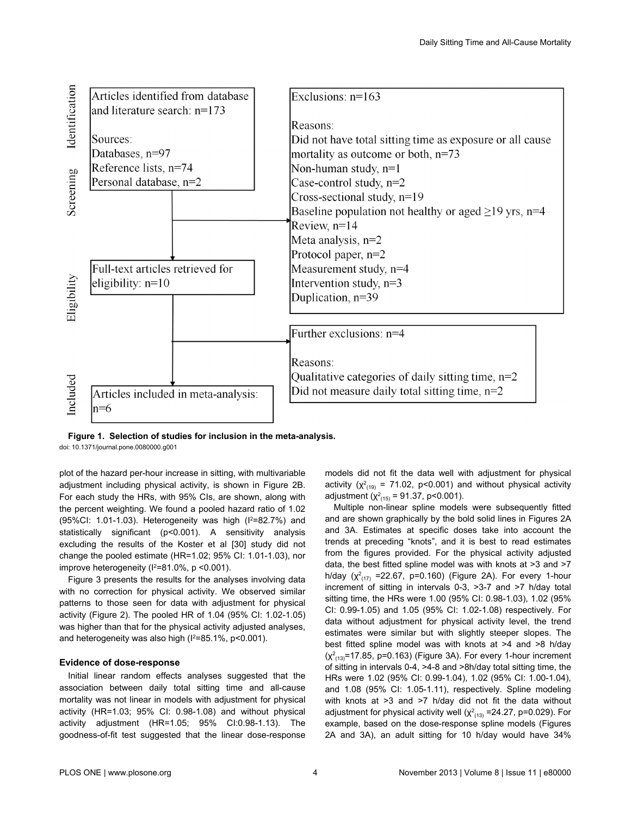<span id="page-4-0"></span>

**Figure 1. Selection of studies for inclusion in the meta-analysis.**

doi: 10.1371/journal.pone.0080000.g001

plot of the hazard per-hour increase in sitting, with multivariable adjustment including physical activity, is shown in [Figure 2B](#page-11-0). For each study the HRs, with 95% CIs, are shown, along with the percent weighting. We found a pooled hazard ratio of 1.02 (95%CI: 1.01-1.03). Heterogeneity was high  $(1^2=82.7%)$  and statistically significant (p<0.001). A sensitivity analysis excluding the results of the Koster et al [\[30\]](#page-13-0) study did not change the pooled estimate (HR=1.02; 95% CI: 1.01-1.03), nor improve heterogeneity ( $1^2$ =81.0%, p <0.001).

[Figure 3](#page-11-0) presents the results for the analyses involving data with no correction for physical activity. We observed similar patterns to those seen for data with adjustment for physical activity [\(Figure 2](#page-11-0)). The pooled HR of 1.04 (95% CI: 1.02-1.05) was higher than that for the physical activity adjusted analyses, and heterogeneity was also high  $(I^2=85.1\% , p<0.001)$ .

#### **Evidence of dose-response**

Initial linear random effects analyses suggested that the association between daily total sitting time and all-cause mortality was not linear in models with adjustment for physical activity (HR=1.03; 95% CI: 0.98-1.08) and without physical activity adjustment (HR=1.05; 95% CI:0.98-1.13). The goodness-of-fit test suggested that the linear dose-response models did not fit the data well with adjustment for physical activity ( $\chi^2_{(19)}$  = 71.02, p<0.001) and without physical activity adjustment ( $\chi^2_{(15)}$  = 91.37, p<0.001).

Multiple non-linear spline models were subsequently fitted and are shown graphically by the bold solid lines in [Figures 2A](#page-11-0) and [3A](#page-11-0). Estimates at specific doses take into account the trends at preceding "knots", and it is best to read estimates from the figures provided. For the physical activity adjusted data, the best fitted spline model was with knots at >3 and >7 h/day ( $\chi^2_{(17)}$  =22.67, p=0.160) ([Figure 2A\)](#page-11-0). For every 1-hour increment of sitting in intervals 0-3, >3-7 and >7 h/day total sitting time, the HRs were 1.00 (95% CI: 0.98-1.03), 1.02 (95% CI: 0.99-1.05) and 1.05 (95% CI: 1.02-1.08) respectively. For data without adjustment for physical activity level, the trend estimates were similar but with slightly steeper slopes. The best fitted spline model was with knots at >4 and >8 h/day  $(\chi^2_{(13)}$ =17.85, p=0.163) [\(Figure 3A\)](#page-11-0). For every 1-hour increment of sitting in intervals 0-4, >4-8 and >8h/day total sitting time, the HRs were 1.02 (95% CI: 0.99-1.04), 1.02 (95% CI: 1.00-1.04), and 1.08 (95% CI: 1.05-1.11), respectively. Spline modeling with knots at >3 and >7 h/day did not fit the data without adjustment for physical activity well ( $\chi^2_{(13)}$  =24.27, p=0.029). For example, based on the dose-response spline models [\(Figures](#page-11-0) [2A](#page-11-0) and [3A\)](#page-11-0), an adult sitting for 10 h/day would have 34%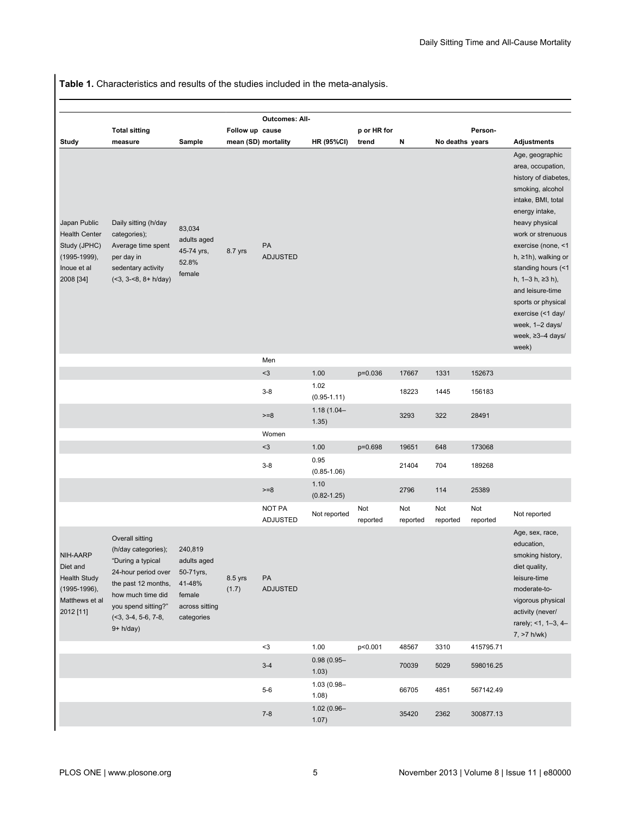<span id="page-5-0"></span>**Table 1.** Characteristics and results of the studies included in the meta-analysis.

|                                                                                                  | <b>Total sitting</b>                                                                                                                                                                           |                                                                                         | Follow up cause     | <b>Outcomes: All-</b>            |                         | p or HR for     |                 |                 | Person-         |                                                                                                                                                                                                                                                                                                                                                                              |
|--------------------------------------------------------------------------------------------------|------------------------------------------------------------------------------------------------------------------------------------------------------------------------------------------------|-----------------------------------------------------------------------------------------|---------------------|----------------------------------|-------------------------|-----------------|-----------------|-----------------|-----------------|------------------------------------------------------------------------------------------------------------------------------------------------------------------------------------------------------------------------------------------------------------------------------------------------------------------------------------------------------------------------------|
| Study                                                                                            | measure                                                                                                                                                                                        | Sample                                                                                  | mean (SD) mortality |                                  | <b>HR (95%CI)</b>       | trend           | N               | No deaths years |                 | <b>Adjustments</b>                                                                                                                                                                                                                                                                                                                                                           |
| Japan Public<br><b>Health Center</b><br>Study (JPHC)<br>(1995-1999),<br>Inoue et al<br>2008 [34] | Daily sitting (h/day<br>categories);<br>Average time spent<br>per day in<br>sedentary activity<br>$($ <3, 3-<8, 8+ h/day)                                                                      | 83,034<br>adults aged<br>45-74 yrs,<br>52.8%<br>female                                  | 8.7 yrs             | PA<br><b>ADJUSTED</b>            |                         |                 |                 |                 |                 | Age, geographic<br>area, occupation,<br>history of diabetes,<br>smoking, alcohol<br>intake, BMI, total<br>energy intake,<br>heavy physical<br>work or strenuous<br>exercise (none, <1<br>h, $\geq 1$ h), walking or<br>standing hours (<1<br>h, 1–3 h, ≥3 h),<br>and leisure-time<br>sports or physical<br>exercise (<1 day/<br>week, 1-2 days/<br>week, ≥3-4 days/<br>week) |
|                                                                                                  |                                                                                                                                                                                                |                                                                                         |                     | Men                              |                         |                 |                 |                 |                 |                                                                                                                                                                                                                                                                                                                                                                              |
|                                                                                                  |                                                                                                                                                                                                |                                                                                         |                     | $3$                              | 1.00                    | p=0.036         | 17667           | 1331            | 152673          |                                                                                                                                                                                                                                                                                                                                                                              |
|                                                                                                  |                                                                                                                                                                                                |                                                                                         |                     | $3 - 8$                          | 1.02<br>$(0.95 - 1.11)$ |                 | 18223           | 1445            | 156183          |                                                                                                                                                                                                                                                                                                                                                                              |
|                                                                                                  |                                                                                                                                                                                                |                                                                                         |                     | $>=8$                            | $1.18(1.04 -$<br>1.35)  |                 | 3293            | 322             | 28491           |                                                                                                                                                                                                                                                                                                                                                                              |
|                                                                                                  |                                                                                                                                                                                                |                                                                                         |                     | Women                            |                         |                 |                 |                 |                 |                                                                                                                                                                                                                                                                                                                                                                              |
|                                                                                                  |                                                                                                                                                                                                |                                                                                         |                     | $3$                              | 1.00<br>0.95            | p=0.698         | 19651           | 648             | 173068          |                                                                                                                                                                                                                                                                                                                                                                              |
|                                                                                                  |                                                                                                                                                                                                |                                                                                         |                     | $3 - 8$                          | $(0.85 - 1.06)$         |                 | 21404           | 704             | 189268          |                                                                                                                                                                                                                                                                                                                                                                              |
|                                                                                                  |                                                                                                                                                                                                |                                                                                         |                     | $>= 8$                           | 1.10<br>$(0.82 - 1.25)$ |                 | 2796            | 114             | 25389           |                                                                                                                                                                                                                                                                                                                                                                              |
|                                                                                                  |                                                                                                                                                                                                |                                                                                         |                     | <b>NOT PA</b><br><b>ADJUSTED</b> | Not reported            | Not<br>reported | Not<br>reported | Not<br>reported | Not<br>reported | Not reported                                                                                                                                                                                                                                                                                                                                                                 |
| NIH-AARP<br>Diet and<br><b>Health Study</b><br>(1995-1996),<br>Matthews et al<br>2012 [11]       | Overall sitting<br>(h/day categories);<br>"During a typical<br>24-hour period over<br>the past 12 months,<br>how much time did<br>you spend sitting?"<br>$($ <3, 3-4, 5-6, 7-8,<br>$9+ h/day)$ | 240,819<br>adults aged<br>50-71yrs,<br>41-48%<br>female<br>across sitting<br>categories | 8.5 yrs<br>(1.7)    | PA<br><b>ADJUSTED</b>            |                         |                 |                 |                 |                 | Age, sex, race,<br>education,<br>smoking history,<br>diet quality,<br>leisure-time<br>moderate-to-<br>vigorous physical<br>activity (never/<br>rarely; <1, 1-3, 4-<br>$7, >7$ h/wk)                                                                                                                                                                                          |
|                                                                                                  |                                                                                                                                                                                                |                                                                                         |                     | $3$                              | 1.00                    | p<0.001         | 48567           | 3310            | 415795.71       |                                                                                                                                                                                                                                                                                                                                                                              |
|                                                                                                  |                                                                                                                                                                                                |                                                                                         |                     | $3-4$                            | $0.98(0.95 -$<br>1.03)  |                 | 70039           | 5029            | 598016.25       |                                                                                                                                                                                                                                                                                                                                                                              |
|                                                                                                  |                                                                                                                                                                                                |                                                                                         |                     | $5-6$                            | 1.03 (0.98-<br>1.08)    |                 | 66705           | 4851            | 567142.49       |                                                                                                                                                                                                                                                                                                                                                                              |
|                                                                                                  |                                                                                                                                                                                                |                                                                                         |                     | $7 - 8$                          | 1.02 (0.96-<br>1.07)    |                 | 35420           | 2362            | 300877.13       |                                                                                                                                                                                                                                                                                                                                                                              |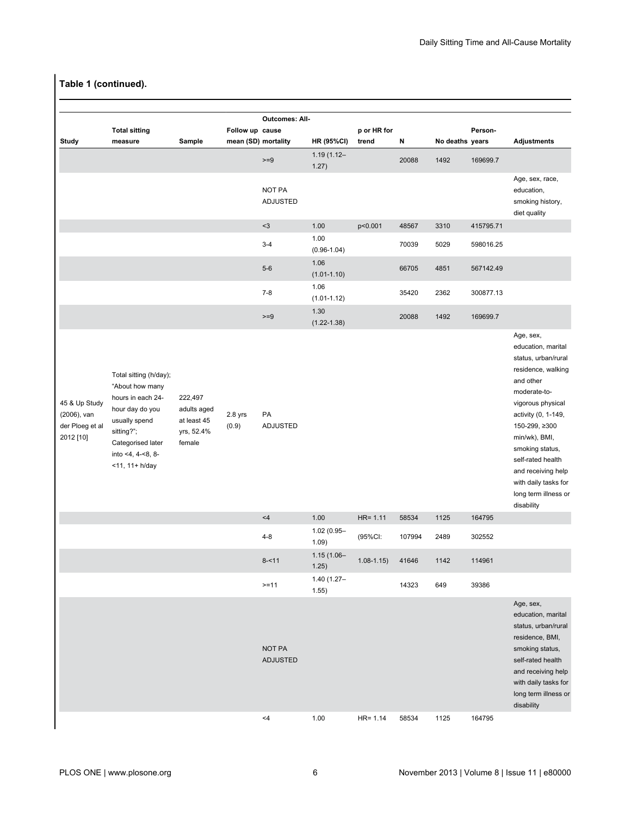|                                                              | <b>Total sitting</b>                                                                                                                                                                  |                                                               | Follow up cause    | <b>Outcomes: All-</b>            |                         | p or HR for   |        |                 | Person-   |                                                                                                                                                                                                                                                                                                                     |
|--------------------------------------------------------------|---------------------------------------------------------------------------------------------------------------------------------------------------------------------------------------|---------------------------------------------------------------|--------------------|----------------------------------|-------------------------|---------------|--------|-----------------|-----------|---------------------------------------------------------------------------------------------------------------------------------------------------------------------------------------------------------------------------------------------------------------------------------------------------------------------|
| <b>Study</b>                                                 | measure                                                                                                                                                                               | Sample                                                        |                    | mean (SD) mortality              | <b>HR (95%CI)</b>       | trend         | N      | No deaths years |           | <b>Adjustments</b>                                                                                                                                                                                                                                                                                                  |
|                                                              |                                                                                                                                                                                       |                                                               |                    | $>=9$                            | $1.19(1.12 -$<br>1.27)  |               | 20088  | 1492            | 169699.7  |                                                                                                                                                                                                                                                                                                                     |
|                                                              |                                                                                                                                                                                       |                                                               |                    | NOT PA<br><b>ADJUSTED</b>        |                         |               |        |                 |           | Age, sex, race,<br>education,<br>smoking history,<br>diet quality                                                                                                                                                                                                                                                   |
|                                                              |                                                                                                                                                                                       |                                                               |                    | $<3$                             | 1.00                    | p<0.001       | 48567  | 3310            | 415795.71 |                                                                                                                                                                                                                                                                                                                     |
|                                                              |                                                                                                                                                                                       |                                                               |                    | $3-4$                            | 1.00<br>$(0.96 - 1.04)$ |               | 70039  | 5029            | 598016.25 |                                                                                                                                                                                                                                                                                                                     |
|                                                              |                                                                                                                                                                                       |                                                               |                    | $5-6$                            | 1.06<br>$(1.01 - 1.10)$ |               | 66705  | 4851            | 567142.49 |                                                                                                                                                                                                                                                                                                                     |
|                                                              |                                                                                                                                                                                       |                                                               |                    | $7 - 8$                          | 1.06<br>$(1.01 - 1.12)$ |               | 35420  | 2362            | 300877.13 |                                                                                                                                                                                                                                                                                                                     |
|                                                              |                                                                                                                                                                                       |                                                               |                    | $>=9$                            | 1.30<br>$(1.22 - 1.38)$ |               | 20088  | 1492            | 169699.7  |                                                                                                                                                                                                                                                                                                                     |
| 45 & Up Study<br>(2006), van<br>der Ploeg et al<br>2012 [10] | Total sitting (h/day);<br>"About how many<br>hours in each 24-<br>hour day do you<br>usually spend<br>sitting?";<br>Categorised later<br>into $<$ 4, 4 $-$ 8, 8 $-$<br><11, 11+ h/day | 222,497<br>adults aged<br>at least 45<br>yrs, 52.4%<br>female | $2.8$ yrs<br>(0.9) | PA<br>ADJUSTED                   |                         |               |        |                 |           | Age, sex,<br>education, marital<br>status, urban/rural<br>residence, walking<br>and other<br>moderate-to-<br>vigorous physical<br>activity (0, 1-149,<br>150-299, ≥300<br>min/wk), BMI,<br>smoking status,<br>self-rated health<br>and receiving help<br>with daily tasks for<br>long term illness or<br>disability |
|                                                              |                                                                                                                                                                                       |                                                               |                    | <4                               | 1.00                    | $HR = 1.11$   | 58534  | 1125            | 164795    |                                                                                                                                                                                                                                                                                                                     |
|                                                              |                                                                                                                                                                                       |                                                               |                    | $4 - 8$                          | 1.02 (0.95-<br>1.09)    | (95%CI:       | 107994 | 2489            | 302552    |                                                                                                                                                                                                                                                                                                                     |
|                                                              |                                                                                                                                                                                       |                                                               |                    | $8 - 11$                         | $1.15(1.06 -$<br>1.25)  | $1.08 - 1.15$ | 41646  | 1142            | 114961    |                                                                                                                                                                                                                                                                                                                     |
|                                                              |                                                                                                                                                                                       |                                                               |                    | $>=11$                           | $1.40(1.27 -$<br>1.55)  |               | 14323  | 649             | 39386     |                                                                                                                                                                                                                                                                                                                     |
|                                                              |                                                                                                                                                                                       |                                                               |                    | <b>NOT PA</b><br><b>ADJUSTED</b> |                         |               |        |                 |           | Age, sex,<br>education, marital<br>status, urban/rural<br>residence, BMI,<br>smoking status,<br>self-rated health<br>and receiving help<br>with daily tasks for<br>long term illness or<br>disability                                                                                                               |
|                                                              |                                                                                                                                                                                       |                                                               |                    | $<$ 4                            | 1.00                    | $HR = 1.14$   | 58534  | 1125            | 164795    |                                                                                                                                                                                                                                                                                                                     |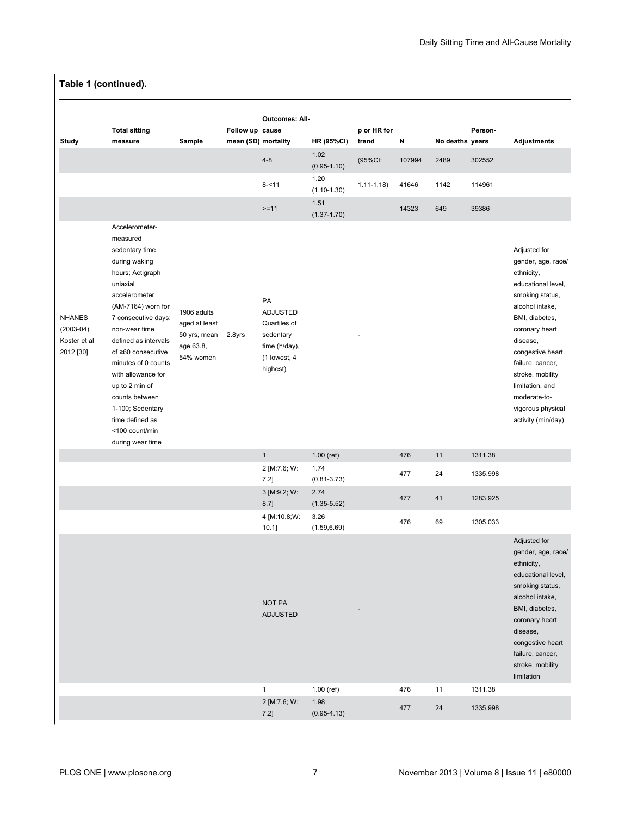|                                                                                                                                                                                                                                                                                                                                                                                          |                                                                        |        | <b>Outcomes: All-</b>                                                                           |                                        |                                   |        |      |          |                                                                                                                                                                                                                                                                                                        |
|------------------------------------------------------------------------------------------------------------------------------------------------------------------------------------------------------------------------------------------------------------------------------------------------------------------------------------------------------------------------------------------|------------------------------------------------------------------------|--------|-------------------------------------------------------------------------------------------------|----------------------------------------|-----------------------------------|--------|------|----------|--------------------------------------------------------------------------------------------------------------------------------------------------------------------------------------------------------------------------------------------------------------------------------------------------------|
| <b>Total sitting</b>                                                                                                                                                                                                                                                                                                                                                                     |                                                                        |        |                                                                                                 |                                        | p or HR for                       |        |      | Person-  |                                                                                                                                                                                                                                                                                                        |
|                                                                                                                                                                                                                                                                                                                                                                                          |                                                                        |        |                                                                                                 |                                        |                                   |        |      |          | <b>Adjustments</b>                                                                                                                                                                                                                                                                                     |
|                                                                                                                                                                                                                                                                                                                                                                                          |                                                                        |        | $4 - 8$                                                                                         | $(0.95 - 1.10)$                        | (95%CI:                           | 107994 | 2489 | 302552   |                                                                                                                                                                                                                                                                                                        |
|                                                                                                                                                                                                                                                                                                                                                                                          |                                                                        |        | $8 - 11$                                                                                        | $(1.10 - 1.30)$                        | $1.11 - 1.18$                     | 41646  | 1142 | 114961   |                                                                                                                                                                                                                                                                                                        |
|                                                                                                                                                                                                                                                                                                                                                                                          |                                                                        |        | $>=11$                                                                                          | 1.51<br>$(1.37 - 1.70)$                |                                   | 14323  | 649  | 39386    |                                                                                                                                                                                                                                                                                                        |
| Accelerometer-<br>measured<br>sedentary time<br>during waking<br>hours; Actigraph<br>uniaxial<br>accelerometer<br>(AM-7164) worn for<br>7 consecutive days;<br>non-wear time<br>defined as intervals<br>of ≥60 consecutive<br>minutes of 0 counts<br>with allowance for<br>up to 2 min of<br>counts between<br>1-100; Sedentary<br>time defined as<br><100 count/min<br>during wear time | 1906 adults<br>aged at least<br>50 yrs, mean<br>age 63.8,<br>54% women | 2.8yrs | PA<br><b>ADJUSTED</b><br>Quartiles of<br>sedentary<br>time (h/day),<br>(1 lowest, 4<br>highest) |                                        |                                   |        |      |          | Adjusted for<br>gender, age, race/<br>ethnicity,<br>educational level,<br>smoking status,<br>alcohol intake,<br>BMI, diabetes,<br>coronary heart<br>disease,<br>congestive heart<br>failure, cancer,<br>stroke, mobility<br>limitation, and<br>moderate-to-<br>vigorous physical<br>activity (min/day) |
|                                                                                                                                                                                                                                                                                                                                                                                          |                                                                        |        | $\mathbf{1}$                                                                                    | 1.00 (ref)                             |                                   | 476    | 11   | 1311.38  |                                                                                                                                                                                                                                                                                                        |
|                                                                                                                                                                                                                                                                                                                                                                                          |                                                                        |        | 2 [M:7.6; W:<br>7.2]                                                                            | 1.74<br>$(0.81 - 3.73)$                |                                   | 477    | 24   | 1335.998 |                                                                                                                                                                                                                                                                                                        |
|                                                                                                                                                                                                                                                                                                                                                                                          |                                                                        |        | 3 [M:9.2; W:<br>$8.7$ ]                                                                         | 2.74<br>$(1.35 - 5.52)$                |                                   | 477    | 41   | 1283.925 |                                                                                                                                                                                                                                                                                                        |
|                                                                                                                                                                                                                                                                                                                                                                                          |                                                                        |        | 4 [M:10.8;W:<br>$10.1$ ]                                                                        | 3.26<br>(1.59, 6.69)                   |                                   | 476    | 69   | 1305.033 |                                                                                                                                                                                                                                                                                                        |
|                                                                                                                                                                                                                                                                                                                                                                                          |                                                                        |        | <b>NOT PA</b><br><b>ADJUSTED</b>                                                                |                                        |                                   |        |      |          | Adjusted for<br>gender, age, race/<br>ethnicity,<br>educational level,<br>smoking status,<br>alcohol intake,<br>BMI, diabetes,<br>coronary heart<br>disease,<br>congestive heart<br>failure, cancer,<br>stroke, mobility                                                                               |
|                                                                                                                                                                                                                                                                                                                                                                                          |                                                                        |        |                                                                                                 |                                        |                                   |        |      |          | limitation                                                                                                                                                                                                                                                                                             |
|                                                                                                                                                                                                                                                                                                                                                                                          |                                                                        |        | $\mathbf{1}$                                                                                    | $1.00$ (ref)                           |                                   | 476    | 11   | 1311.38  |                                                                                                                                                                                                                                                                                                        |
|                                                                                                                                                                                                                                                                                                                                                                                          | measure                                                                | Sample |                                                                                                 | Follow up cause<br>mean (SD) mortality | <b>HR (95%CI)</b><br>1.02<br>1.20 | trend  | Ν    |          | No deaths years                                                                                                                                                                                                                                                                                        |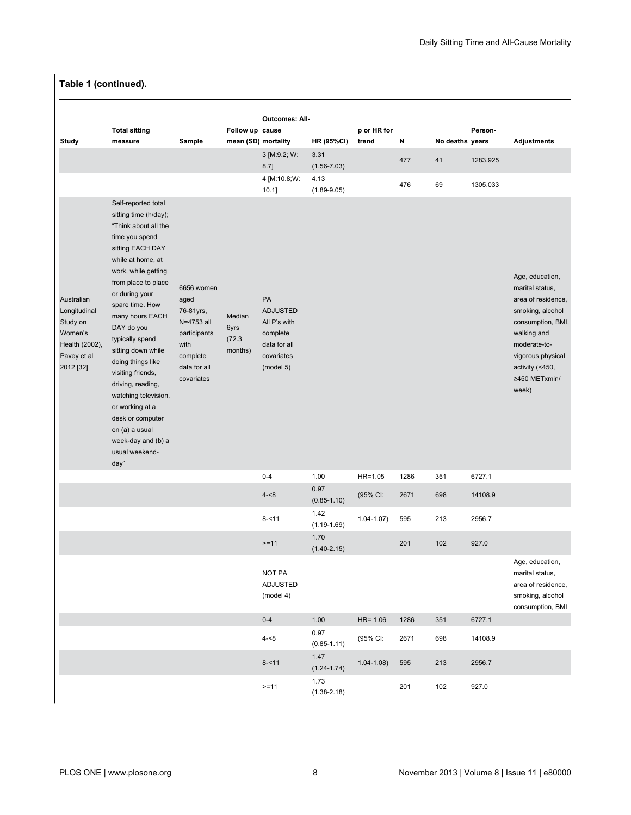|                                                                                                 |                                                                                                                                                                                                                                                                                                                                                                                                                                                                                              |                                                                                                                 |                                     | <b>Outcomes: All-</b>                                                                        |                         |                 |      |                 |          |                                                                                                                                                                                                    |
|-------------------------------------------------------------------------------------------------|----------------------------------------------------------------------------------------------------------------------------------------------------------------------------------------------------------------------------------------------------------------------------------------------------------------------------------------------------------------------------------------------------------------------------------------------------------------------------------------------|-----------------------------------------------------------------------------------------------------------------|-------------------------------------|----------------------------------------------------------------------------------------------|-------------------------|-----------------|------|-----------------|----------|----------------------------------------------------------------------------------------------------------------------------------------------------------------------------------------------------|
|                                                                                                 | <b>Total sitting</b>                                                                                                                                                                                                                                                                                                                                                                                                                                                                         |                                                                                                                 | Follow up cause                     |                                                                                              |                         | p or HR for     |      |                 | Person-  |                                                                                                                                                                                                    |
| Study                                                                                           | measure                                                                                                                                                                                                                                                                                                                                                                                                                                                                                      | Sample                                                                                                          | mean (SD) mortality                 |                                                                                              | <b>HR (95%CI)</b>       | trend           | N    | No deaths years |          | <b>Adjustments</b>                                                                                                                                                                                 |
|                                                                                                 |                                                                                                                                                                                                                                                                                                                                                                                                                                                                                              |                                                                                                                 |                                     | 3 [M:9.2; W:<br>$8.7$ ]                                                                      | 3.31<br>$(1.56 - 7.03)$ |                 | 477  | 41              | 1283.925 |                                                                                                                                                                                                    |
|                                                                                                 |                                                                                                                                                                                                                                                                                                                                                                                                                                                                                              |                                                                                                                 |                                     | 4 [M:10.8;W:<br>$10.1$ ]                                                                     | 4.13<br>$(1.89 - 9.05)$ |                 | 476  | 69              | 1305.033 |                                                                                                                                                                                                    |
| Australian<br>Longitudinal<br>Study on<br>Women's<br>Health (2002),<br>Pavey et al<br>2012 [32] | Self-reported total<br>sitting time (h/day);<br>"Think about all the<br>time you spend<br>sitting EACH DAY<br>while at home, at<br>work, while getting<br>from place to place<br>or during your<br>spare time. How<br>many hours EACH<br>DAY do you<br>typically spend<br>sitting down while<br>doing things like<br>visiting friends,<br>driving, reading,<br>watching television,<br>or working at a<br>desk or computer<br>on (a) a usual<br>week-day and (b) a<br>usual weekend-<br>day" | 6656 women<br>aged<br>76-81yrs,<br>N=4753 all<br>participants<br>with<br>complete<br>data for all<br>covariates | Median<br>6yrs<br>(72.3)<br>months) | PA<br><b>ADJUSTED</b><br>All P's with<br>complete<br>data for all<br>covariates<br>(model 5) |                         |                 |      |                 |          | Age, education,<br>marital status,<br>area of residence,<br>smoking, alcohol<br>consumption, BMI,<br>walking and<br>moderate-to-<br>vigorous physical<br>activity (<450,<br>≥450 METxmin/<br>week) |
|                                                                                                 |                                                                                                                                                                                                                                                                                                                                                                                                                                                                                              |                                                                                                                 |                                     | $0 - 4$                                                                                      | 1.00                    | $HR=1.05$       | 1286 | 351             | 6727.1   |                                                                                                                                                                                                    |
|                                                                                                 |                                                                                                                                                                                                                                                                                                                                                                                                                                                                                              |                                                                                                                 |                                     | $4 - 8$                                                                                      | 0.97<br>$(0.85 - 1.10)$ | (95% CI:        | 2671 | 698             | 14108.9  |                                                                                                                                                                                                    |
|                                                                                                 |                                                                                                                                                                                                                                                                                                                                                                                                                                                                                              |                                                                                                                 |                                     | $8 - 11$                                                                                     | 1.42<br>$(1.19 - 1.69)$ | $1.04 - 1.07$ ) | 595  | 213             | 2956.7   |                                                                                                                                                                                                    |
|                                                                                                 |                                                                                                                                                                                                                                                                                                                                                                                                                                                                                              |                                                                                                                 |                                     | $>=11$                                                                                       | 1.70<br>$(1.40 - 2.15)$ |                 | 201  | 102             | 927.0    |                                                                                                                                                                                                    |
|                                                                                                 |                                                                                                                                                                                                                                                                                                                                                                                                                                                                                              |                                                                                                                 |                                     | NOT PA<br><b>ADJUSTED</b><br>(model 4)                                                       |                         |                 |      |                 |          | Age, education,<br>marital status,<br>area of residence,<br>smoking, alcohol<br>consumption, BMI                                                                                                   |
|                                                                                                 |                                                                                                                                                                                                                                                                                                                                                                                                                                                                                              |                                                                                                                 |                                     | $0-4$                                                                                        | 1.00                    | $HR = 1.06$     | 1286 | 351             | 6727.1   |                                                                                                                                                                                                    |
|                                                                                                 |                                                                                                                                                                                                                                                                                                                                                                                                                                                                                              |                                                                                                                 |                                     | $4 - 8$                                                                                      | 0.97<br>$(0.85 - 1.11)$ | (95% CI:        | 2671 | 698             | 14108.9  |                                                                                                                                                                                                    |
|                                                                                                 |                                                                                                                                                                                                                                                                                                                                                                                                                                                                                              |                                                                                                                 |                                     | $8 - 11$                                                                                     | 1.47<br>$(1.24 - 1.74)$ | $1.04 - 1.08$   | 595  | 213             | 2956.7   |                                                                                                                                                                                                    |
|                                                                                                 |                                                                                                                                                                                                                                                                                                                                                                                                                                                                                              |                                                                                                                 |                                     | $>=11$                                                                                       | 1.73<br>$(1.38 - 2.18)$ |                 | 201  | 102             | 927.0    |                                                                                                                                                                                                    |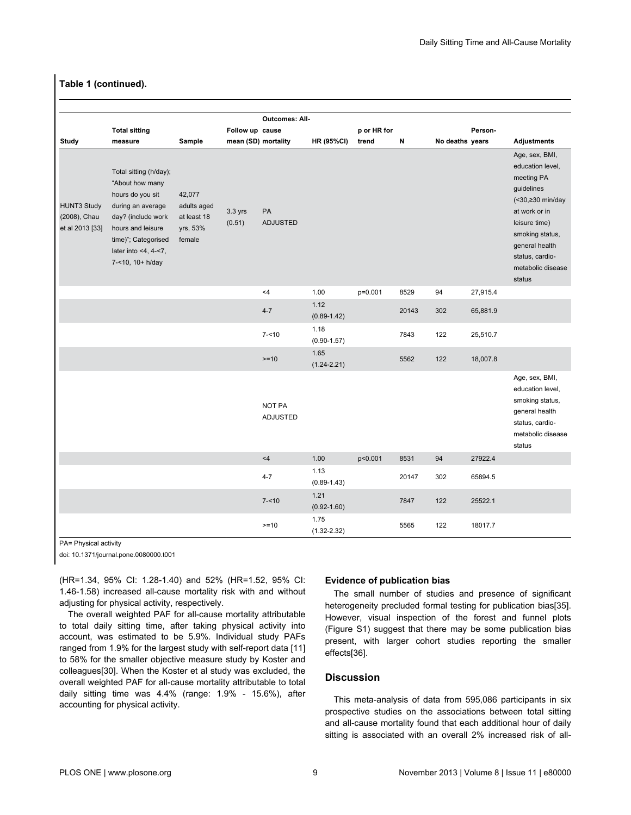|                                                       |                                                                                                                                                                                                        |                                                            |                     | <b>Outcomes: All-</b> |                         |             |       |                 |          |                                                                                                                                                                                                             |
|-------------------------------------------------------|--------------------------------------------------------------------------------------------------------------------------------------------------------------------------------------------------------|------------------------------------------------------------|---------------------|-----------------------|-------------------------|-------------|-------|-----------------|----------|-------------------------------------------------------------------------------------------------------------------------------------------------------------------------------------------------------------|
|                                                       | <b>Total sitting</b>                                                                                                                                                                                   |                                                            | Follow up cause     |                       |                         | p or HR for |       |                 | Person-  |                                                                                                                                                                                                             |
| Study                                                 | measure                                                                                                                                                                                                | Sample                                                     | mean (SD) mortality |                       | <b>HR (95%CI)</b>       | trend       | N     | No deaths years |          | <b>Adjustments</b>                                                                                                                                                                                          |
| <b>HUNT3 Study</b><br>(2008), Chau<br>et al 2013 [33] | Total sitting (h/day);<br>"About how many<br>hours do you sit<br>during an average<br>day? (include work<br>hours and leisure<br>time)"; Categorised<br>later into $<$ 4, 4 $<$ 7,<br>7-<10, 10+ h/day | 42,077<br>adults aged<br>at least 18<br>yrs, 53%<br>female | 3.3 yrs<br>(0.51)   | PA<br><b>ADJUSTED</b> |                         |             |       |                 |          | Age, sex, BMI,<br>education level,<br>meeting PA<br>guidelines<br>(<30,≥30 min/day<br>at work or in<br>leisure time)<br>smoking status,<br>general health<br>status, cardio-<br>metabolic disease<br>status |
|                                                       |                                                                                                                                                                                                        |                                                            |                     | <4                    | 1.00                    | p=0.001     | 8529  | 94              | 27,915.4 |                                                                                                                                                                                                             |
|                                                       |                                                                                                                                                                                                        |                                                            |                     | $4 - 7$               | 1.12<br>$(0.89 - 1.42)$ |             | 20143 | 302             | 65,881.9 |                                                                                                                                                                                                             |
|                                                       |                                                                                                                                                                                                        |                                                            |                     | $7 - 10$              | 1.18<br>$(0.90 - 1.57)$ |             | 7843  | 122             | 25,510.7 |                                                                                                                                                                                                             |
|                                                       |                                                                                                                                                                                                        |                                                            |                     | $>=10$                | 1.65<br>$(1.24 - 2.21)$ |             | 5562  | 122             | 18,007.8 |                                                                                                                                                                                                             |
|                                                       |                                                                                                                                                                                                        |                                                            |                     | NOT PA<br>ADJUSTED    |                         |             |       |                 |          | Age, sex, BMI,<br>education level,<br>smoking status,<br>general health<br>status, cardio-<br>metabolic disease<br>status                                                                                   |
|                                                       |                                                                                                                                                                                                        |                                                            |                     | $<4$                  | 1.00                    | p<0.001     | 8531  | 94              | 27922.4  |                                                                                                                                                                                                             |
|                                                       |                                                                                                                                                                                                        |                                                            |                     | $4 - 7$               | 1.13<br>$(0.89 - 1.43)$ |             | 20147 | 302             | 65894.5  |                                                                                                                                                                                                             |
|                                                       |                                                                                                                                                                                                        |                                                            |                     | $7 - 10$              | 1.21<br>$(0.92 - 1.60)$ |             | 7847  | 122             | 25522.1  |                                                                                                                                                                                                             |
|                                                       |                                                                                                                                                                                                        |                                                            |                     | $>= 10$               | 1.75<br>$(1.32 - 2.32)$ |             | 5565  | 122             | 18017.7  |                                                                                                                                                                                                             |

PA= Physical activity

doi: 10.1371/journal.pone.0080000.t001

(HR=1.34, 95% CI: 1.28-1.40) and 52% (HR=1.52, 95% CI: 1.46-1.58) increased all-cause mortality risk with and without adjusting for physical activity, respectively.

The overall weighted PAF for all-cause mortality attributable to total daily sitting time, after taking physical activity into account, was estimated to be 5.9%. Individual study PAFs ranged from 1.9% for the largest study with self-report data [[11](#page-13-0)] to 58% for the smaller objective measure study by Koster and colleagues[[30](#page-13-0)]. When the Koster et al study was excluded, the overall weighted PAF for all-cause mortality attributable to total daily sitting time was 4.4% (range: 1.9% - 15.6%), after accounting for physical activity.

#### **Evidence of publication bias**

The small number of studies and presence of significant heterogeneity precluded formal testing for publication bias[\[35\]](#page-13-0). However, visual inspection of the forest and funnel plots [\(Figure S1](#page-12-0)) suggest that there may be some publication bias present, with larger cohort studies reporting the smaller effects[[36](#page-13-0)].

#### **Discussion**

This meta-analysis of data from 595,086 participants in six prospective studies on the associations between total sitting and all-cause mortality found that each additional hour of daily sitting is associated with an overall 2% increased risk of all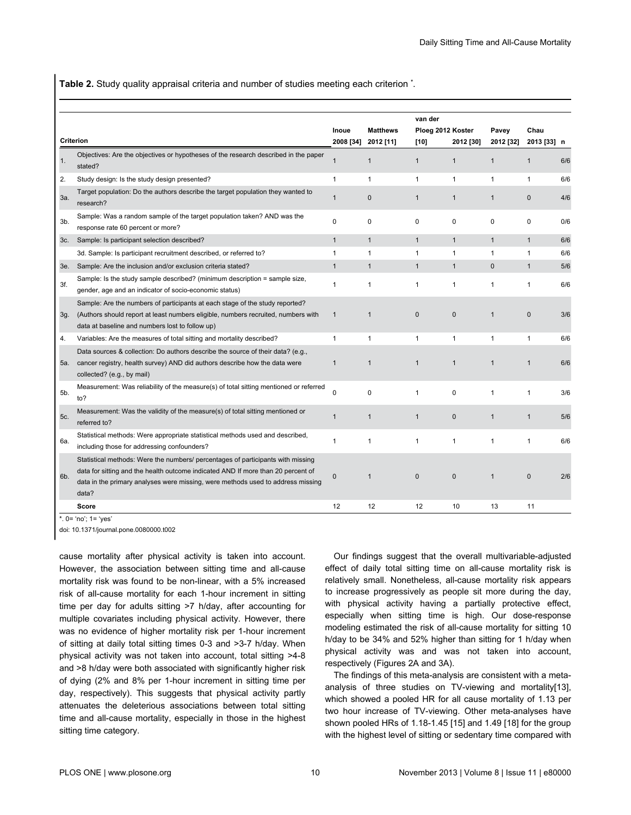<span id="page-10-0"></span>**Table 2.** Study quality appraisal criteria and number of studies meeting each criterion **\*** .

|        |                                                                                                                                                                                                                                                                 | Inoue        | <b>Matthews</b>     | van der<br>Ploeg 2012 Koster |              | Pavey        | Chau         |     |
|--------|-----------------------------------------------------------------------------------------------------------------------------------------------------------------------------------------------------------------------------------------------------------------|--------------|---------------------|------------------------------|--------------|--------------|--------------|-----|
|        | <b>Criterion</b>                                                                                                                                                                                                                                                |              | 2008 [34] 2012 [11] | [10]                         | 2012 [30]    | 2012 [32]    | 2013 [33] n  |     |
| 1.     | Objectives: Are the objectives or hypotheses of the research described in the paper<br>stated?                                                                                                                                                                  | $\mathbf{1}$ | $\mathbf{1}$        | $\mathbf{1}$                 | $\mathbf{1}$ | $\mathbf{1}$ | $\mathbf{1}$ | 6/6 |
| 2.     | Study design: Is the study design presented?                                                                                                                                                                                                                    | $\mathbf{1}$ | $\mathbf{1}$        | $\mathbf{1}$                 | $\mathbf{1}$ | $\mathbf{1}$ | $\mathbf{1}$ | 6/6 |
| За.    | Target population: Do the authors describe the target population they wanted to<br>research?                                                                                                                                                                    | $\mathbf{1}$ | $\mathbf{0}$        | $\mathbf{1}$                 | $\mathbf{1}$ | $\mathbf{1}$ | $\mathbf{0}$ | 4/6 |
| $3b$ . | Sample: Was a random sample of the target population taken? AND was the<br>response rate 60 percent or more?                                                                                                                                                    | $\mathbf 0$  | 0                   | 0                            | 0            | 0            | $\Omega$     | 0/6 |
| 3c.    | Sample: Is participant selection described?                                                                                                                                                                                                                     | $\mathbf{1}$ | $\mathbf{1}$        | $\mathbf{1}$                 | $\mathbf{1}$ | $\mathbf{1}$ | $\mathbf{1}$ | 6/6 |
|        | 3d. Sample: Is participant recruitment described, or referred to?                                                                                                                                                                                               | $\mathbf{1}$ | $\mathbf{1}$        | $\mathbf{1}$                 | 1            | 1            | $\mathbf{1}$ | 6/6 |
| 3e.    | Sample: Are the inclusion and/or exclusion criteria stated?                                                                                                                                                                                                     | $\mathbf{1}$ | $\mathbf{1}$        | $\mathbf{1}$                 | $\mathbf{1}$ | 0            | $\mathbf{1}$ | 5/6 |
| 3f.    | Sample: Is the study sample described? (minimum description = sample size,<br>gender, age and an indicator of socio-economic status)                                                                                                                            | $\mathbf{1}$ | $\mathbf{1}$        | $\mathbf{1}$                 | 1            | $\mathbf{1}$ | $\mathbf{1}$ | 6/6 |
| 3g.    | Sample: Are the numbers of participants at each stage of the study reported?<br>(Authors should report at least numbers eligible, numbers recruited, numbers with<br>data at baseline and numbers lost to follow up)                                            | $\mathbf{1}$ | 1                   | $\mathbf 0$                  | $\mathbf 0$  | $\mathbf{1}$ | $\pmb{0}$    | 3/6 |
| 4.     | Variables: Are the measures of total sitting and mortality described?                                                                                                                                                                                           | $\mathbf{1}$ | $\mathbf{1}$        | $\mathbf{1}$                 | 1            | $\mathbf{1}$ | $\mathbf{1}$ | 6/6 |
| 5a.    | Data sources & collection: Do authors describe the source of their data? (e.g.,<br>cancer registry, health survey) AND did authors describe how the data were<br>collected? (e.g., by mail)                                                                     | $\mathbf{1}$ | $\mathbf{1}$        | $\mathbf{1}$                 | $\mathbf{1}$ | $\mathbf{1}$ | $\mathbf{1}$ | 6/6 |
| 5b.    | Measurement: Was reliability of the measure(s) of total sitting mentioned or referred<br>to?                                                                                                                                                                    | $\mathbf 0$  | 0                   | $\mathbf{1}$                 | $\mathbf 0$  | $\mathbf{1}$ | $\mathbf{1}$ | 3/6 |
| 5c.    | Measurement: Was the validity of the measure(s) of total sitting mentioned or<br>referred to?                                                                                                                                                                   | $\mathbf{1}$ | $\mathbf{1}$        | $\mathbf{1}$                 | $\bf 0$      | $\mathbf{1}$ | $\mathbf{1}$ | 5/6 |
| 6а.    | Statistical methods: Were appropriate statistical methods used and described,<br>including those for addressing confounders?                                                                                                                                    | $\mathbf{1}$ | 1                   | $\mathbf{1}$                 | 1            | $\mathbf{1}$ | $\mathbf{1}$ | 6/6 |
| 6b.    | Statistical methods: Were the numbers/ percentages of participants with missing<br>data for sitting and the health outcome indicated AND If more than 20 percent of<br>data in the primary analyses were missing, were methods used to address missing<br>data? | $\mathbf 0$  | $\mathbf{1}$        | $\pmb{0}$                    | $\mathbf{0}$ | $\mathbf{1}$ | $\mathbf{0}$ | 2/6 |
|        | Score                                                                                                                                                                                                                                                           | 12           | 12                  | 12                           | 10           | 13           | 11           |     |

\*. 0= 'no'; 1= 'yes'

doi: 10.1371/journal.pone.0080000.t002

cause mortality after physical activity is taken into account. However, the association between sitting time and all-cause mortality risk was found to be non-linear, with a 5% increased risk of all-cause mortality for each 1-hour increment in sitting time per day for adults sitting >7 h/day, after accounting for multiple covariates including physical activity. However, there was no evidence of higher mortality risk per 1-hour increment of sitting at daily total sitting times 0-3 and >3-7 h/day. When physical activity was not taken into account, total sitting >4-8 and >8 h/day were both associated with significantly higher risk of dying (2% and 8% per 1-hour increment in sitting time per day, respectively). This suggests that physical activity partly attenuates the deleterious associations between total sitting time and all-cause mortality, especially in those in the highest sitting time category.

Our findings suggest that the overall multivariable-adjusted effect of daily total sitting time on all-cause mortality risk is relatively small. Nonetheless, all-cause mortality risk appears to increase progressively as people sit more during the day, with physical activity having a partially protective effect, especially when sitting time is high. Our dose-response modeling estimated the risk of all-cause mortality for sitting 10 h/day to be 34% and 52% higher than sitting for 1 h/day when physical activity was and was not taken into account, respectively ([Figures 2A](#page-11-0) and [3A\)](#page-11-0).

The findings of this meta-analysis are consistent with a metaanalysis of three studies on TV-viewing and mortality[\[13\]](#page-13-0), which showed a pooled HR for all cause mortality of 1.13 per two hour increase of TV-viewing. Other meta-analyses have shown pooled HRs of 1.18-1.45 [[15](#page-13-0)] and 1.49 [[18](#page-13-0)] for the group with the highest level of sitting or sedentary time compared with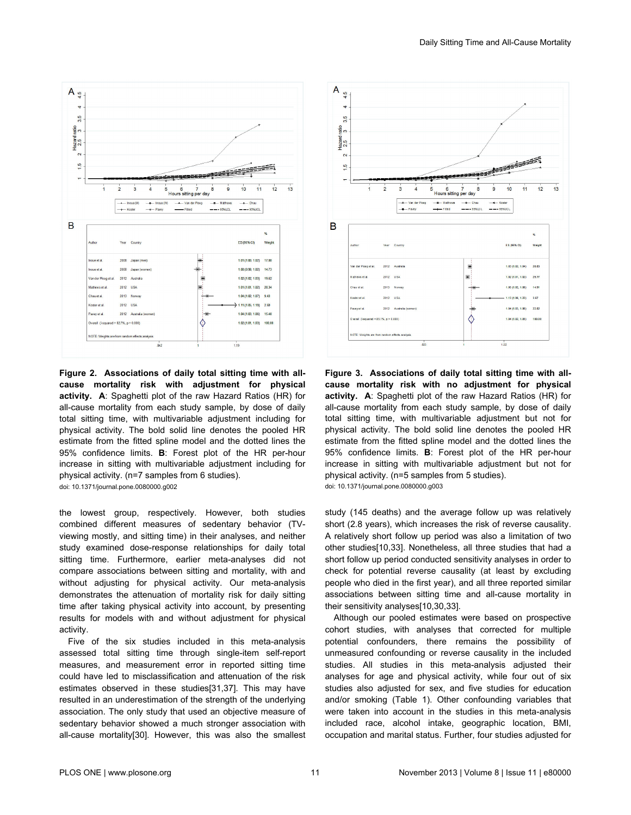<span id="page-11-0"></span>

**Figure 2. Associations of daily total sitting time with allcause mortality risk with adjustment for physical activity. A**: Spaghetti plot of the raw Hazard Ratios (HR) for all-cause mortality from each study sample, by dose of daily total sitting time, with multivariable adjustment including for physical activity. The bold solid line denotes the pooled HR estimate from the fitted spline model and the dotted lines the 95% confidence limits. **B**: Forest plot of the HR per-hour increase in sitting with multivariable adjustment including for physical activity. (n=7 samples from 6 studies). doi: 10.1371/journal.pone.0080000.g002

the lowest group, respectively. However, both studies combined different measures of sedentary behavior (TVviewing mostly, and sitting time) in their analyses, and neither study examined dose-response relationships for daily total sitting time. Furthermore, earlier meta-analyses did not compare associations between sitting and mortality, with and without adjusting for physical activity. Our meta-analysis demonstrates the attenuation of mortality risk for daily sitting time after taking physical activity into account, by presenting results for models with and without adjustment for physical activity.

Five of the six studies included in this meta-analysis assessed total sitting time through single-item self-report measures, and measurement error in reported sitting time could have led to misclassification and attenuation of the risk estimates observed in these studies[\[31,37\]](#page-13-0). This may have resulted in an underestimation of the strength of the underlying association. The only study that used an objective measure of sedentary behavior showed a much stronger association with all-cause mortality[[30](#page-13-0)]. However, this was also the smallest



**Figure 3. Associations of daily total sitting time with allcause mortality risk with no adjustment for physical activity. A**: Spaghetti plot of the raw Hazard Ratios (HR) for all-cause mortality from each study sample, by dose of daily total sitting time, with multivariable adjustment but not for physical activity. The bold solid line denotes the pooled HR estimate from the fitted spline model and the dotted lines the 95% confidence limits. **B**: Forest plot of the HR per-hour increase in sitting with multivariable adjustment but not for physical activity. (n=5 samples from 5 studies). doi: 10.1371/journal.pone.0080000.g003

study (145 deaths) and the average follow up was relatively short (2.8 years), which increases the risk of reverse causality. A relatively short follow up period was also a limitation of two other studies[[10,33\]](#page-13-0). Nonetheless, all three studies that had a short follow up period conducted sensitivity analyses in order to check for potential reverse causality (at least by excluding people who died in the first year), and all three reported similar associations between sitting time and all-cause mortality in their sensitivity analyses[[10,30,33\]](#page-13-0).

Although our pooled estimates were based on prospective cohort studies, with analyses that corrected for multiple potential confounders, there remains the possibility of unmeasured confounding or reverse causality in the included studies. All studies in this meta-analysis adjusted their analyses for age and physical activity, while four out of six studies also adjusted for sex, and five studies for education and/or smoking ([Table 1](#page-5-0)). Other confounding variables that were taken into account in the studies in this meta-analysis included race, alcohol intake, geographic location, BMI, occupation and marital status. Further, four studies adjusted for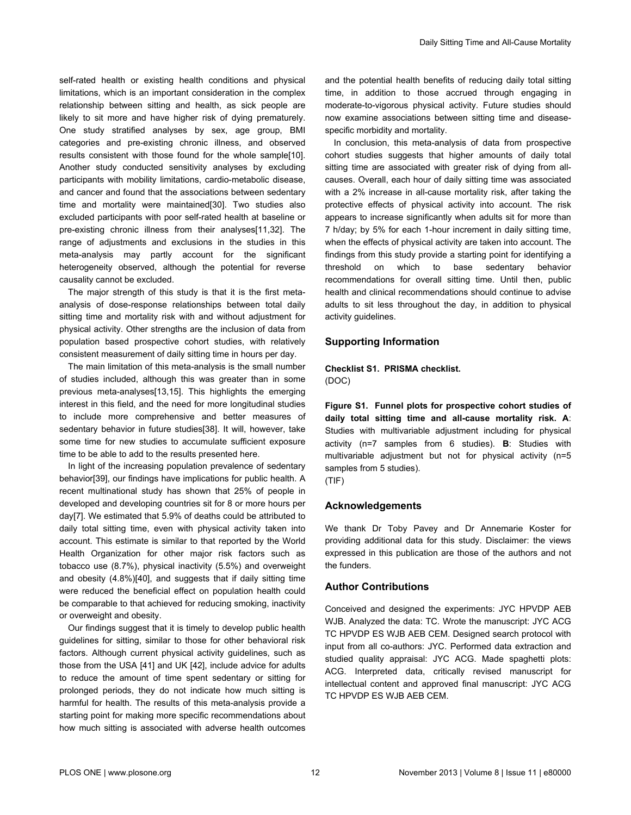<span id="page-12-0"></span>self-rated health or existing health conditions and physical limitations, which is an important consideration in the complex relationship between sitting and health, as sick people are likely to sit more and have higher risk of dying prematurely. One study stratified analyses by sex, age group, BMI categories and pre-existing chronic illness, and observed results consistent with those found for the whole sample[\[10\]](#page-13-0). Another study conducted sensitivity analyses by excluding participants with mobility limitations, cardio-metabolic disease, and cancer and found that the associations between sedentary time and mortality were maintained[[30](#page-13-0)]. Two studies also excluded participants with poor self-rated health at baseline or pre-existing chronic illness from their analyses[\[11,32](#page-13-0)]. The range of adjustments and exclusions in the studies in this meta-analysis may partly account for the significant heterogeneity observed, although the potential for reverse causality cannot be excluded.

The major strength of this study is that it is the first metaanalysis of dose-response relationships between total daily sitting time and mortality risk with and without adjustment for physical activity. Other strengths are the inclusion of data from population based prospective cohort studies, with relatively consistent measurement of daily sitting time in hours per day.

The main limitation of this meta-analysis is the small number of studies included, although this was greater than in some previous meta-analyses[\[13,15](#page-13-0)]. This highlights the emerging interest in this field, and the need for more longitudinal studies to include more comprehensive and better measures of sedentary behavior in future studies[\[38](#page-13-0)]. It will, however, take some time for new studies to accumulate sufficient exposure time to be able to add to the results presented here.

In light of the increasing population prevalence of sedentary behavior[[39](#page-14-0)], our findings have implications for public health. A recent multinational study has shown that 25% of people in developed and developing countries sit for 8 or more hours per day[[7](#page-13-0)]. We estimated that 5.9% of deaths could be attributed to daily total sitting time, even with physical activity taken into account. This estimate is similar to that reported by the World Health Organization for other major risk factors such as tobacco use (8.7%), physical inactivity (5.5%) and overweight and obesity (4.8%)[[40](#page-14-0)], and suggests that if daily sitting time were reduced the beneficial effect on population health could be comparable to that achieved for reducing smoking, inactivity or overweight and obesity.

Our findings suggest that it is timely to develop public health guidelines for sitting, similar to those for other behavioral risk factors. Although current physical activity guidelines, such as those from the USA [\[41\]](#page-14-0) and UK [[42](#page-14-0)], include advice for adults to reduce the amount of time spent sedentary or sitting for prolonged periods, they do not indicate how much sitting is harmful for health. The results of this meta-analysis provide a starting point for making more specific recommendations about how much sitting is associated with adverse health outcomes

and the potential health benefits of reducing daily total sitting time, in addition to those accrued through engaging in moderate-to-vigorous physical activity. Future studies should now examine associations between sitting time and diseasespecific morbidity and mortality.

In conclusion, this meta-analysis of data from prospective cohort studies suggests that higher amounts of daily total sitting time are associated with greater risk of dying from allcauses. Overall, each hour of daily sitting time was associated with a 2% increase in all-cause mortality risk, after taking the protective effects of physical activity into account. The risk appears to increase significantly when adults sit for more than 7 h/day; by 5% for each 1-hour increment in daily sitting time, when the effects of physical activity are taken into account. The findings from this study provide a starting point for identifying a threshold on which to base sedentary behavior recommendations for overall sitting time. Until then, public health and clinical recommendations should continue to advise adults to sit less throughout the day, in addition to physical activity guidelines.

#### **Supporting Information**

#### **Checklist S1. PRISMA checklist.** (DOC)

**Figure S1. Funnel plots for prospective cohort studies of daily total sitting time and all-cause mortality risk. A**: Studies with multivariable adjustment including for physical activity (n=7 samples from 6 studies). **B**: Studies with multivariable adjustment but not for physical activity (n=5 samples from 5 studies).

(TIF)

#### **Acknowledgements**

We thank Dr Toby Pavey and Dr Annemarie Koster for providing additional data for this study. Disclaimer: the views expressed in this publication are those of the authors and not the funders.

#### **Author Contributions**

Conceived and designed the experiments: JYC HPVDP AEB WJB. Analyzed the data: TC. Wrote the manuscript: JYC ACG TC HPVDP ES WJB AEB CEM. Designed search protocol with input from all co-authors: JYC. Performed data extraction and studied quality appraisal: JYC ACG. Made spaghetti plots: ACG. Interpreted data, critically revised manuscript for intellectual content and approved final manuscript: JYC ACG TC HPVDP ES WJB AEB CEM.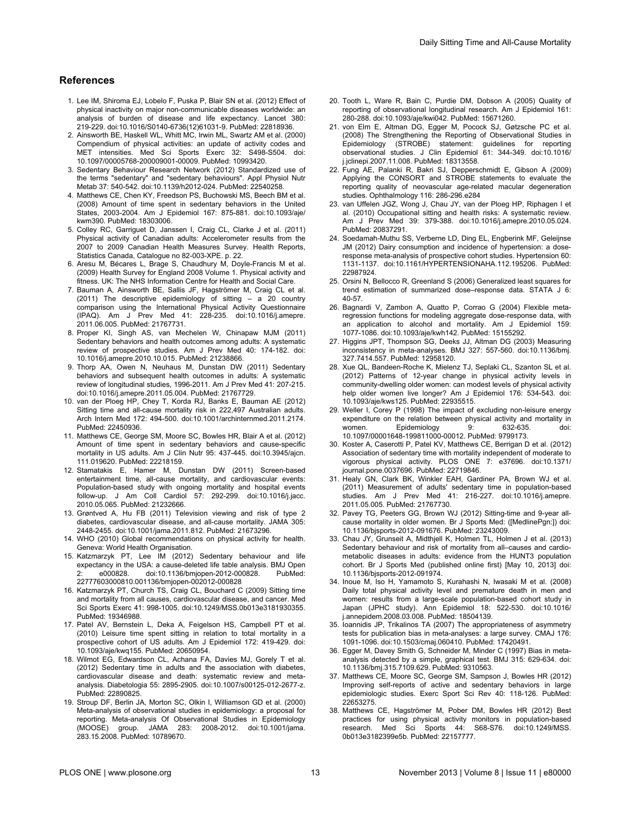#### <span id="page-13-0"></span>**References**

- 1. Lee IM, Shiroma EJ, Lobelo F, Puska P, Blair SN et al. (2012) Effect of physical inactivity on major non-communicable diseases worldwide: an analysis of burden of disease and life expectancy. Lancet 380: 219-229. doi[:10.1016/S0140-6736\(12\)61031-9.](http://dx.doi.org/10.1016/S0140-6736(12)61031-9) PubMed: [22818936.](http://www.ncbi.nlm.nih.gov/pubmed/22818936)
- 2. Ainsworth BE, Haskell WL, Whitt MC, Irwin ML, Swartz AM et al. (2000) Compendium of physical activities: an update of activity codes and MET intensities. Med Sci Sports Exerc 32: S498-S504. doi: [10.1097/00005768-200009001-00009](http://dx.doi.org/10.1097/00005768-200009001-00009). PubMed: [10993420](http://www.ncbi.nlm.nih.gov/pubmed/10993420).
- 3. Sedentary Behaviour Research Network (2012) Standardized use of the terms "sedentary" and "sedentary behaviours". Appl Physiol Nutr Metab 37: 540-542. doi:[10.1139/h2012-024](http://dx.doi.org/10.1139/h2012-024). PubMed: [22540258](http://www.ncbi.nlm.nih.gov/pubmed/22540258).
- 4. Matthews CE, Chen KY, Freedson PS, Buchowski MS, Beech BM et al. (2008) Amount of time spent in sedentary behaviors in the United States, 2003-2004. Am J Epidemiol 167: 875-881. doi:[10.1093/aje/](http://dx.doi.org/10.1093/aje/kwm390) [kwm390.](http://dx.doi.org/10.1093/aje/kwm390) PubMed: [18303006.](http://www.ncbi.nlm.nih.gov/pubmed/18303006)
- 5. Colley RC, Garriguet D, Janssen I, Craig CL, Clarke J et al. (2011) Physical activity of Canadian adults: Accelerometer results from the 2007 to 2009 Canadian Health Measures Survey. Health Reports, Statistics Canada, Catalogue no 82-003-XPE. p. 22.
- 6. Aresu M, Bécares L, Brage S, Chaudhury M, Doyle-Francis M et al. (2009) Health Survey for England 2008 Volume 1. Physical activity and fitness. UK: The NHS Information Centre for Health and Social Care.
- 7. Bauman A, Ainsworth BE, Sallis JF, Hagströmer M, Craig CL et al. (2011) The descriptive epidemiology of sitting – a 20 country comparison using the International Physical Activity Questionnaire (IPAQ). Am J Prev Med 41: 228-235. doi[:10.1016/j.amepre.](http://dx.doi.org/10.1016/j.amepre.2011.06.005) [2011.06.005.](http://dx.doi.org/10.1016/j.amepre.2011.06.005) PubMed: [21767731.](http://www.ncbi.nlm.nih.gov/pubmed/21767731)
- 8. Proper KI, Singh AS, van Mechelen W, Chinapaw MJM (2011) Sedentary behaviors and health outcomes among adults: A systematic review of prospective studies. Am J Prev Med 40: 174-182. doi: [10.1016/j.amepre.2010.10.015.](http://dx.doi.org/10.1016/j.amepre.2010.10.015) PubMed: [21238866.](http://www.ncbi.nlm.nih.gov/pubmed/21238866)
- 9. Thorp AA, Owen N, Neuhaus M, Dunstan DW (2011) Sedentary behaviors and subsequent health outcomes in adults: A systematic review of longitudinal studies, 1996-2011. Am J Prev Med 41: 207-215. doi:[10.1016/j.amepre.2011.05.004](http://dx.doi.org/10.1016/j.amepre.2011.05.004). PubMed: [21767729](http://www.ncbi.nlm.nih.gov/pubmed/21767729).
- 10. van der Ploeg HP, Chey T, Korda RJ, Banks E, Bauman AE (2012) Sitting time and all-cause mortality risk in 222,497 Australian adults. Arch Intern Med 172: 494-500. doi:[10.1001/archinternmed.2011.2174.](http://dx.doi.org/10.1001/archinternmed.2011.2174) PubMed: [22450936.](http://www.ncbi.nlm.nih.gov/pubmed/22450936)
- 11. Matthews CE, George SM, Moore SC, Bowles HR, Blair A et al. (2012) Amount of time spent in sedentary behaviors and cause-specific mortality in US adults. Am J Clin Nutr 95: 437-445. doi[:10.3945/ajcn.](http://dx.doi.org/10.3945/ajcn.111.019620) [111.019620.](http://dx.doi.org/10.3945/ajcn.111.019620) PubMed: [22218159.](http://www.ncbi.nlm.nih.gov/pubmed/22218159)
- 12. Stamatakis E, Hamer M, Dunstan DW (2011) Screen-based entertainment time, all-cause mortality, and cardiovascular events: Population-based study with ongoing mortality and hospital events follow-up. J Am Coll Cardiol 57: 292-299. doi[:10.1016/j.jacc.](http://dx.doi.org/10.1016/j.jacc.2010.05.065) [2010.05.065.](http://dx.doi.org/10.1016/j.jacc.2010.05.065) PubMed: [21232666.](http://www.ncbi.nlm.nih.gov/pubmed/21232666)
- 13. Grøntved A, Hu FB (2011) Television viewing and risk of type 2 diabetes, cardiovascular disease, and all-cause mortality. JAMA 305: 2448-2455. doi[:10.1001/jama.2011.812.](http://dx.doi.org/10.1001/jama.2011.812) PubMed: [21673296.](http://www.ncbi.nlm.nih.gov/pubmed/21673296)
- 14. WHO (2010) Global recommendations on physical activity for health. Geneva: World Health Organisation.
- 15. Katzmarzyk PT, Lee IM (2012) Sedentary behaviour and life expectancy in the USA: a cause-deleted life table analysis. BMJ Open 2: e000828. doi:[10.1136/bmjopen-2012-000828.](http://dx.doi.org/10.1136/bmjopen-2012-000828) PubMed: [22777603000810](http://www.ncbi.nlm.nih.gov/pubmed/22777603000810).001136/bmjopen-002012-000828
- 16. Katzmarzyk PT, Church TS, Craig CL, Bouchard C (2009) Sitting time and mortality from all causes, cardiovascular disease, and cancer. Med Sci Sports Exerc 41: 998-1005. doi:[10.1249/MSS.0b013e3181930355.](http://dx.doi.org/10.1249/MSS.0b013e3181930355) PubMed: [19346988.](http://www.ncbi.nlm.nih.gov/pubmed/19346988)
- 17. Patel AV, Bernstein L, Deka A, Feigelson HS, Campbell PT et al. (2010) Leisure time spent sitting in relation to total mortality in a prospective cohort of US adults. Am J Epidemiol 172: 419-429. doi: [10.1093/aje/kwq155](http://dx.doi.org/10.1093/aje/kwq155). PubMed: [20650954](http://www.ncbi.nlm.nih.gov/pubmed/20650954).
- 18. Wilmot EG, Edwardson CL, Achana FA, Davies MJ, Gorely T et al. (2012) Sedentary time in adults and the association with diabetes, cardiovascular disease and death: systematic review and metaanalysis. Diabetologia 55: 2895-2905. doi:[10.1007/s00125-012-2677-z.](http://dx.doi.org/10.1007/s00125-012-2677-z) PubMed: [22890825.](http://www.ncbi.nlm.nih.gov/pubmed/22890825)
- 19. Stroup DF, Berlin JA, Morton SC, Olkin I, Williamson GD et al. (2000) Meta-analysis of observational studies in epidemiology: a proposal for reporting. Meta-analysis Of Observational Studies in Epidemiology (MOOSE) group. JAMA 283: 2008-2012. doi[:10.1001/jama.](http://dx.doi.org/10.1001/jama.283.15.2008) [283.15.2008.](http://dx.doi.org/10.1001/jama.283.15.2008) PubMed: [10789670.](http://www.ncbi.nlm.nih.gov/pubmed/10789670)
- 20. Tooth L, Ware R, Bain C, Purdie DM, Dobson A (2005) Quality of reporting of observational longitudinal research. Am J Epidemiol 161: 280-288. doi[:10.1093/aje/kwi042.](http://dx.doi.org/10.1093/aje/kwi042) PubMed: [15671260.](http://www.ncbi.nlm.nih.gov/pubmed/15671260)
- 21. von Elm E, Altman DG, Egger M, Pocock SJ, Gøtzsche PC et al. (2008) The Strengthening the Reporting of Observational Studies in Epidemiology (STROBE) statement: guidelines for reporting observational studies. J Clin Epidemiol 61: 344-349. doi[:10.1016/](http://dx.doi.org/10.1016/j.jclinepi.2007.11.008) [j.jclinepi.2007.11.008](http://dx.doi.org/10.1016/j.jclinepi.2007.11.008). PubMed: [18313558](http://www.ncbi.nlm.nih.gov/pubmed/18313558).
- 22. Fung AE, Palanki R, Bakri SJ, Depperschmidt E, Gibson A (2009) Applying the CONSORT and STROBE statements to evaluate the reporting quality of neovascular age-related macular degeneration studies. Ophthalmology 116: 286-296.e284
- 23. van Uffelen JGZ, Wong J, Chau JY, van der Ploeg HP, Riphagen I et al. (2010) Occupational sitting and health risks: A systematic review. Am J Prev Med 39: 379-388. doi[:10.1016/j.amepre.2010.05.024](http://dx.doi.org/10.1016/j.amepre.2010.05.024). PubMed: [20837291.](http://www.ncbi.nlm.nih.gov/pubmed/20837291)
- 24. Soedamah-Muthu SS, Verberne LD, Ding EL, Engberink MF, Geleijnse JM (2012) Dairy consumption and incidence of hypertension: a doseresponse meta-analysis of prospective cohort studies. Hypertension 60: 1131-1137. doi:[10.1161/HYPERTENSIONAHA.112.195206.](http://dx.doi.org/10.1161/HYPERTENSIONAHA.112.195206) PubMed: [22987924.](http://www.ncbi.nlm.nih.gov/pubmed/22987924)
- 25. Orsini N, Bellocco R, Greenland S (2006) Generalized least squares for trend estimation of summarized dose–response data. STATA J 6: 40-57.
- 26. Bagnardi V, Zambon A, Quatto P, Corrao G (2004) Flexible metaregression functions for modeling aggregate dose-response data, with an application to alcohol and mortality. Am J Epidemiol 159: 1077-1086. doi[:10.1093/aje/kwh142.](http://dx.doi.org/10.1093/aje/kwh142) PubMed: [15155292.](http://www.ncbi.nlm.nih.gov/pubmed/15155292)
- 27. Higgins JPT, Thompson SG, Deeks JJ, Altman DG (2003) Measuring inconsistency in meta-analyses. BMJ 327: 557-560. doi:[10.1136/bmj.](http://dx.doi.org/10.1136/bmj.327.7414.557) [327.7414.557](http://dx.doi.org/10.1136/bmj.327.7414.557). PubMed: [12958120](http://www.ncbi.nlm.nih.gov/pubmed/12958120).
- 28. Xue QL, Bandeen-Roche K, Mielenz TJ, Seplaki CL, Szanton SL et al. (2012) Patterns of 12-year change in physical activity levels in community-dwelling older women: can modest levels of physical activity help older women live longer? Am J Epidemiol 176: 534-543. doi: [10.1093/aje/kws125.](http://dx.doi.org/10.1093/aje/kws125) PubMed: [22935515.](http://www.ncbi.nlm.nih.gov/pubmed/22935515)
- 29. Weller I, Corey P (1998) The impact of excluding non-leisure energy expenditure on the relation between physical activity and mortality in women. Epidemiology 9: 632-635. doi: [10.1097/00001648-199811000-00012](http://dx.doi.org/10.1097/00001648-199811000-00012). PubMed: [9799173](http://www.ncbi.nlm.nih.gov/pubmed/9799173).
- 30. Koster A, Caserotti P, Patel KV, Matthews CE, Berrigan D et al. (2012) Association of sedentary time with mortality independent of moderate to vigorous physical activity. PLOS ONE 7: e37696. doi[:10.1371/](http://dx.doi.org/10.1371/journal.pone.0037696) [journal.pone.0037696](http://dx.doi.org/10.1371/journal.pone.0037696). PubMed: [22719846](http://www.ncbi.nlm.nih.gov/pubmed/22719846).
- 31. Healy GN, Clark BK, Winkler EAH, Gardiner PA, Brown WJ et al. (2011) Measurement of adults' sedentary time in population-based studies. Am J Prev Med 41: 216-227. doi:[10.1016/j.amepre.](http://dx.doi.org/10.1016/j.amepre.2011.05.005) [2011.05.005](http://dx.doi.org/10.1016/j.amepre.2011.05.005). PubMed: [21767730](http://www.ncbi.nlm.nih.gov/pubmed/21767730).
- 32. Pavey TG, Peeters GG, Brown WJ (2012) Sitting-time and 9-year allcause mortality in older women. Br J Sports Med: ([MedlinePgn:]) doi: [10.1136/bjsports-2012-091676.](http://dx.doi.org/10.1136/bjsports-2012-091676) PubMed: [23243009.](http://www.ncbi.nlm.nih.gov/pubmed/23243009)
- 33. Chau JY, Grunseit A, Midthjell K, Holmen TL, Holmen J et al. (2013) Sedentary behaviour and risk of mortality from all–causes and cardiometabolic diseases in adults: evidence from the HUNT3 population cohort. Br J Sports Med (published online first) [May 10, 2013] doi: [10.1136/bjsports-2012-091974.](http://dx.doi.org/10.1136/bjsports-2012-091974)
- 34. Inoue M, Iso H, Yamamoto S, Kurahashi N, Iwasaki M et al. (2008) Daily total physical activity level and premature death in men and women: results from a large-scale population-based cohort study in Japan (JPHC study). Ann Epidemiol 18: 522-530. doi[:10.1016/](http://dx.doi.org/10.1016/j.annepidem.2008.03.008) [j.annepidem.2008.03.008.](http://dx.doi.org/10.1016/j.annepidem.2008.03.008) PubMed: [18504139.](http://www.ncbi.nlm.nih.gov/pubmed/18504139)
- 35. Ioannidis JP, Trikalinos TA (2007) The appropriateness of asymmetry tests for publication bias in meta-analyses: a large survey. CMAJ 176: 1091-1096. doi[:10.1503/cmaj.060410](http://dx.doi.org/10.1503/cmaj.060410). PubMed: [17420491](http://www.ncbi.nlm.nih.gov/pubmed/17420491).
- 36. Egger M, Davey Smith G, Schneider M, Minder C (1997) Bias in metaanalysis detected by a simple, graphical test. BMJ 315: 629-634. doi: [10.1136/bmj.315.7109.629.](http://dx.doi.org/10.1136/bmj.315.7109.629) PubMed: [9310563.](http://www.ncbi.nlm.nih.gov/pubmed/9310563)
- 37. Matthews CE, Moore SC, George SM, Sampson J, Bowles HR (2012) Improving self-reports of active and sedentary behaviors in large epidemiologic studies. Exerc Sport Sci Rev 40: 118-126. PubMed: [22653275.](http://www.ncbi.nlm.nih.gov/pubmed/22653275)
- 38. Matthews CE, Hagströmer M, Pober DM, Bowles HR (2012) Best practices for using physical activity monitors in population-based research. Med Sci Sports 44: S68-S76. doi[:10.1249/MSS.](http://dx.doi.org/10.1249/MSS.0b013e3182399e5b) [0b013e3182399e5b.](http://dx.doi.org/10.1249/MSS.0b013e3182399e5b) PubMed: [22157777.](http://www.ncbi.nlm.nih.gov/pubmed/22157777)